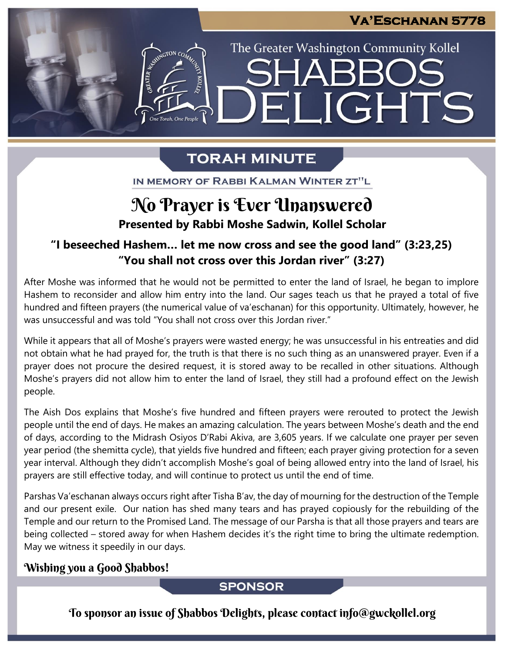The Greater Washington Community Kollel

ELIGHTS

# **TORAH MINUTE**

IN MEMORY OF RABBI KALMAN WINTER ZT"L

# No Prayer is Ever Unanswered

**Presented by Rabbi Moshe Sadwin, Kollel Scholar**

### **"I beseeched Hashem… let me now cross and see the good land" (3:23,25) "You shall not cross over this Jordan river" (3:27)**

After Moshe was informed that he would not be permitted to enter the land of Israel, he began to implore Hashem to reconsider and allow him entry into the land. Our sages teach us that he prayed a total of five hundred and fifteen prayers (the numerical value of va'eschanan) for this opportunity. Ultimately, however, he was unsuccessful and was told "You shall not cross over this Jordan river."

While it appears that all of Moshe's prayers were wasted energy; he was unsuccessful in his entreaties and did not obtain what he had prayed for, the truth is that there is no such thing as an unanswered prayer. Even if a prayer does not procure the desired request, it is stored away to be recalled in other situations. Although Moshe's prayers did not allow him to enter the land of Israel, they still had a profound effect on the Jewish people.

The Aish Dos explains that Moshe's five hundred and fifteen prayers were rerouted to protect the Jewish people until the end of days. He makes an amazing calculation. The years between Moshe's death and the end of days, according to the Midrash Osiyos D'Rabi Akiva, are 3,605 years. If we calculate one prayer per seven year period (the shemitta cycle), that yields five hundred and fifteen; each prayer giving protection for a seven year interval. Although they didn't accomplish Moshe's goal of being allowed entry into the land of Israel, his prayers are still effective today, and will continue to protect us until the end of time.

Parshas Va'eschanan always occurs right after Tisha B'av, the day of mourning for the destruction of the Temple and our present exile. Our nation has shed many tears and has prayed copiously for the rebuilding of the Temple and our return to the Promised Land. The message of our Parsha is that all those prayers and tears are being collected – stored away for when Hashem decides it's the right time to bring the ultimate redemption. May we witness it speedily in our days.

### Wishing you a Good Shabbos!

### **SPONSOR**

To sponsor an issue of Shabbos Delights, please contact info@gwckollel.org